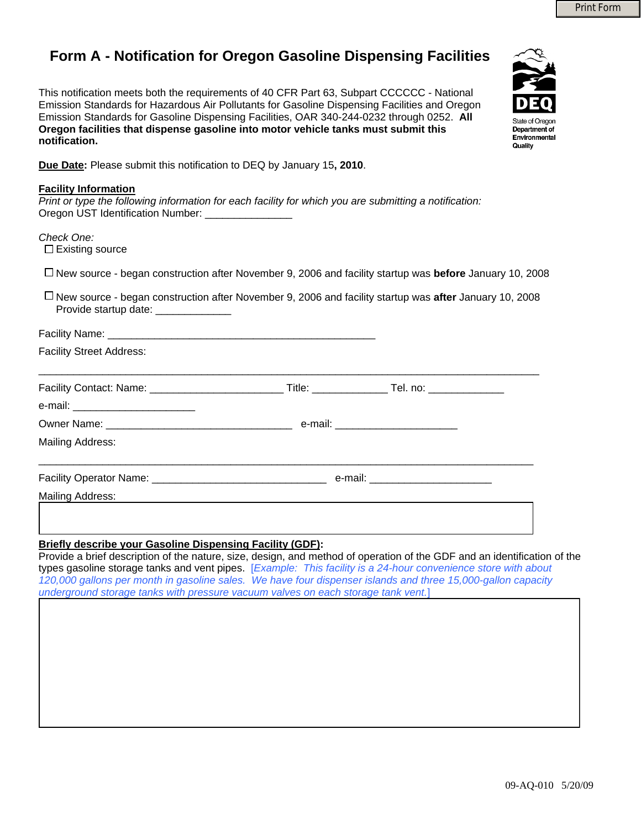## **Form A - Notification for Oregon Gasoline Dispensing Facilities**

This notification meets both the requirements of 40 CFR Part 63, Subpart CCCCCC - National Emission Standards for Hazardous Air Pollutants for Gasoline Dispensing Facilities and Oregon Emission Standards for Gasoline Dispensing Facilities, OAR 340-244-0232 through 0252. **All Oregon facilities that dispense gasoline into motor vehicle tanks must submit this notification.** 



**Due Date:** Please submit this notification to DEQ by January 15**, 2010**.

| <b>Facility Information</b><br>Print or type the following information for each facility for which you are submitting a notification:<br>Oregon UST Identification Number: ________________                                                                                                                                                                                                                                    |  |  |  |  |  |
|--------------------------------------------------------------------------------------------------------------------------------------------------------------------------------------------------------------------------------------------------------------------------------------------------------------------------------------------------------------------------------------------------------------------------------|--|--|--|--|--|
| Check One:<br>$\Box$ Existing source                                                                                                                                                                                                                                                                                                                                                                                           |  |  |  |  |  |
| $\Box$ New source - began construction after November 9, 2006 and facility startup was <b>before</b> January 10, 2008<br>$\Box$ New source - began construction after November 9, 2006 and facility startup was after January 10, 2008<br>Provide startup date: ______________                                                                                                                                                 |  |  |  |  |  |
|                                                                                                                                                                                                                                                                                                                                                                                                                                |  |  |  |  |  |
| <b>Facility Street Address:</b>                                                                                                                                                                                                                                                                                                                                                                                                |  |  |  |  |  |
|                                                                                                                                                                                                                                                                                                                                                                                                                                |  |  |  |  |  |
| e-mail: ____________________________                                                                                                                                                                                                                                                                                                                                                                                           |  |  |  |  |  |
|                                                                                                                                                                                                                                                                                                                                                                                                                                |  |  |  |  |  |
| <b>Mailing Address:</b>                                                                                                                                                                                                                                                                                                                                                                                                        |  |  |  |  |  |
|                                                                                                                                                                                                                                                                                                                                                                                                                                |  |  |  |  |  |
| Mailing Address:                                                                                                                                                                                                                                                                                                                                                                                                               |  |  |  |  |  |
|                                                                                                                                                                                                                                                                                                                                                                                                                                |  |  |  |  |  |
| <b>Briefly describe your Gasoline Dispensing Facility (GDF):</b><br>Provide a brief description of the nature, size, design, and method of operation of the GDF and an identification of the<br>types gasoline storage tanks and vent pipes. [Example: This facility is a 24-hour convenience store with about<br>120,000 gallons per month in gasoline sales. We have four dispenser islands and three 15,000-gallon capacity |  |  |  |  |  |

*underground storage tanks with pressure vacuum valves on each storage tank vent.*]